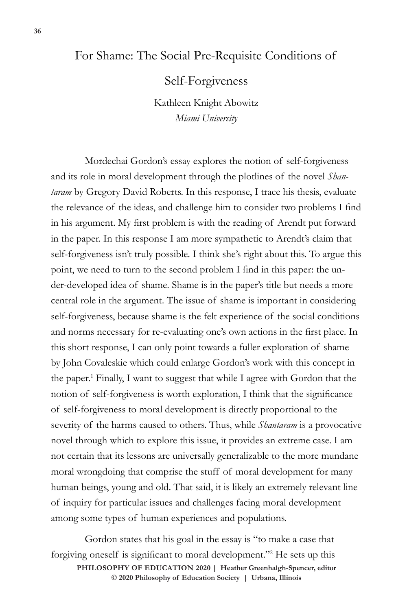## For Shame: The Social Pre-Requisite Conditions of

Self-Forgiveness

Kathleen Knight Abowitz *Miami University*

Mordechai Gordon's essay explores the notion of self-forgiveness and its role in moral development through the plotlines of the novel *Shantaram* by Gregory David Roberts. In this response, I trace his thesis, evaluate the relevance of the ideas, and challenge him to consider two problems I find in his argument. My first problem is with the reading of Arendt put forward in the paper. In this response I am more sympathetic to Arendt's claim that self-forgiveness isn't truly possible. I think she's right about this. To argue this point, we need to turn to the second problem I find in this paper: the under-developed idea of shame. Shame is in the paper's title but needs a more central role in the argument. The issue of shame is important in considering self-forgiveness, because shame is the felt experience of the social conditions and norms necessary for re-evaluating one's own actions in the first place. In this short response, I can only point towards a fuller exploration of shame by John Covaleskie which could enlarge Gordon's work with this concept in the paper.<sup>1</sup> Finally, I want to suggest that while I agree with Gordon that the notion of self-forgiveness is worth exploration, I think that the significance of self-forgiveness to moral development is directly proportional to the severity of the harms caused to others. Thus, while *Shantaram* is a provocative novel through which to explore this issue, it provides an extreme case. I am not certain that its lessons are universally generalizable to the more mundane moral wrongdoing that comprise the stuff of moral development for many human beings, young and old. That said, it is likely an extremely relevant line of inquiry for particular issues and challenges facing moral development among some types of human experiences and populations.

 $\odot$  2020 Philosophy of Education Society | Urbana, Illinois **PHILOSOPHY OF EDUCATION 2020 | Heather Greenhalgh-Spencer, editor**  Gordon states that his goal in the essay is "to make a case that forgiving oneself is significant to moral development."<sup>2</sup> He sets up this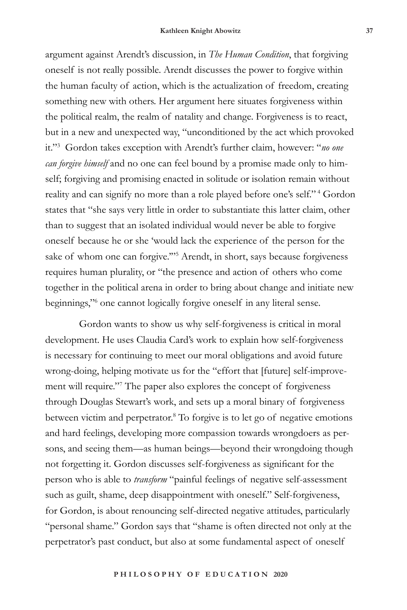argument against Arendt's discussion, in *The Human Condition*, that forgiving oneself is not really possible. Arendt discusses the power to forgive within the human faculty of action, which is the actualization of freedom, creating something new with others. Her argument here situates forgiveness within the political realm, the realm of natality and change. Forgiveness is to react, but in a new and unexpected way, "unconditioned by the act which provoked it."<sup>3</sup> Gordon takes exception with Arendt's further claim, however: "*no one can forgive himself* and no one can feel bound by a promise made only to himself; forgiving and promising enacted in solitude or isolation remain without reality and can signify no more than a role played before one's self."<sup>4</sup> Gordon states that "she says very little in order to substantiate this latter claim, other than to suggest that an isolated individual would never be able to forgive oneself because he or she 'would lack the experience of the person for the sake of whom one can forgive."<sup>55</sup> Arendt, in short, says because forgiveness requires human plurality, or "the presence and action of others who come together in the political arena in order to bring about change and initiate new beginnings,"<sup>6</sup> one cannot logically forgive oneself in any literal sense.

Gordon wants to show us why self-forgiveness is critical in moral development. He uses Claudia Card's work to explain how self-forgiveness is necessary for continuing to meet our moral obligations and avoid future wrong-doing, helping motivate us for the "effort that [future] self-improvement will require."<sup>7</sup> The paper also explores the concept of forgiveness through Douglas Stewart's work, and sets up a moral binary of forgiveness between victim and perpetrator.<sup>8</sup> To forgive is to let go of negative emotions and hard feelings, developing more compassion towards wrongdoers as persons, and seeing them—as human beings—beyond their wrongdoing though not forgetting it. Gordon discusses self-forgiveness as significant for the person who is able to *transform* "painful feelings of negative self-assessment such as guilt, shame, deep disappointment with oneself." Self-forgiveness, for Gordon, is about renouncing self-directed negative attitudes, particularly "personal shame." Gordon says that "shame is often directed not only at the perpetrator's past conduct, but also at some fundamental aspect of oneself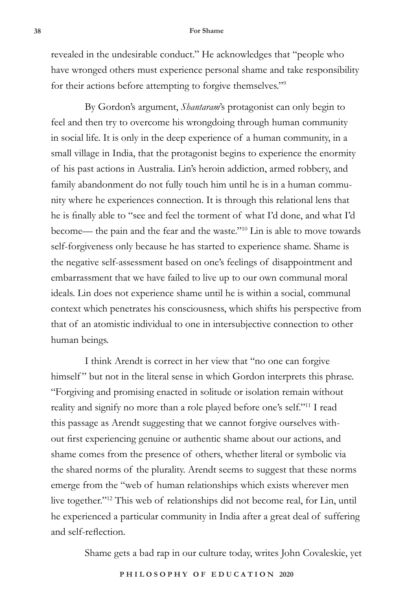## **38 For Shame**

revealed in the undesirable conduct." He acknowledges that "people who have wronged others must experience personal shame and take responsibility for their actions before attempting to forgive themselves."<sup>9</sup>

By Gordon's argument, *Shantaram*'s protagonist can only begin to feel and then try to overcome his wrongdoing through human community in social life. It is only in the deep experience of a human community, in a small village in India, that the protagonist begins to experience the enormity of his past actions in Australia. Lin's heroin addiction, armed robbery, and family abandonment do not fully touch him until he is in a human community where he experiences connection. It is through this relational lens that he is finally able to "see and feel the torment of what I'd done, and what I'd become— the pain and the fear and the waste."10 Lin is able to move towards self-forgiveness only because he has started to experience shame. Shame is the negative self-assessment based on one's feelings of disappointment and embarrassment that we have failed to live up to our own communal moral ideals. Lin does not experience shame until he is within a social, communal context which penetrates his consciousness, which shifts his perspective from that of an atomistic individual to one in intersubjective connection to other human beings.

I think Arendt is correct in her view that "no one can forgive himself" but not in the literal sense in which Gordon interprets this phrase. "Forgiving and promising enacted in solitude or isolation remain without reality and signify no more than a role played before one's self."11 I read this passage as Arendt suggesting that we cannot forgive ourselves without first experiencing genuine or authentic shame about our actions, and shame comes from the presence of others, whether literal or symbolic via the shared norms of the plurality. Arendt seems to suggest that these norms emerge from the "web of human relationships which exists wherever men live together."12 This web of relationships did not become real, for Lin, until he experienced a particular community in India after a great deal of suffering and self-reflection.

Shame gets a bad rap in our culture today, writes John Covaleskie, yet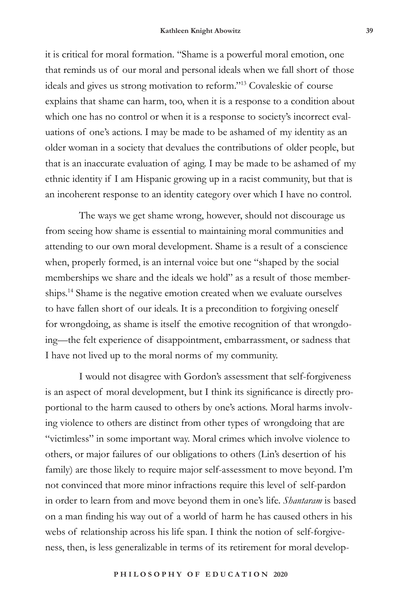it is critical for moral formation. "Shame is a powerful moral emotion, one that reminds us of our moral and personal ideals when we fall short of those ideals and gives us strong motivation to reform."13 Covaleskie of course explains that shame can harm, too, when it is a response to a condition about which one has no control or when it is a response to society's incorrect evaluations of one's actions. I may be made to be ashamed of my identity as an older woman in a society that devalues the contributions of older people, but that is an inaccurate evaluation of aging. I may be made to be ashamed of my ethnic identity if I am Hispanic growing up in a racist community, but that is an incoherent response to an identity category over which I have no control.

The ways we get shame wrong, however, should not discourage us from seeing how shame is essential to maintaining moral communities and attending to our own moral development. Shame is a result of a conscience when, properly formed, is an internal voice but one "shaped by the social memberships we share and the ideals we hold" as a result of those memberships.14 Shame is the negative emotion created when we evaluate ourselves to have fallen short of our ideals. It is a precondition to forgiving oneself for wrongdoing, as shame is itself the emotive recognition of that wrongdoing—the felt experience of disappointment, embarrassment, or sadness that I have not lived up to the moral norms of my community.

I would not disagree with Gordon's assessment that self-forgiveness is an aspect of moral development, but I think its significance is directly proportional to the harm caused to others by one's actions. Moral harms involving violence to others are distinct from other types of wrongdoing that are "victimless" in some important way. Moral crimes which involve violence to others, or major failures of our obligations to others (Lin's desertion of his family) are those likely to require major self-assessment to move beyond. I'm not convinced that more minor infractions require this level of self-pardon in order to learn from and move beyond them in one's life. *Shantaram* is based on a man finding his way out of a world of harm he has caused others in his webs of relationship across his life span. I think the notion of self-forgiveness, then, is less generalizable in terms of its retirement for moral develop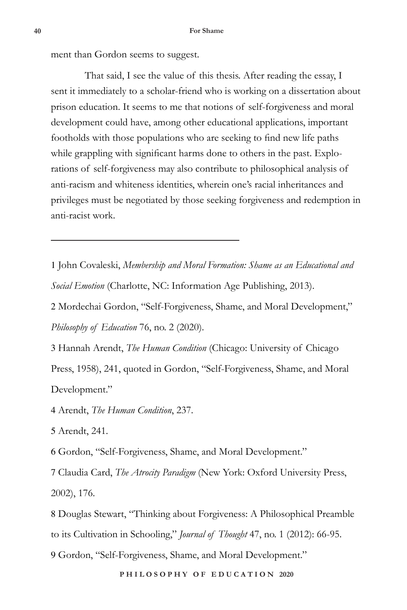ment than Gordon seems to suggest.

That said, I see the value of this thesis. After reading the essay, I sent it immediately to a scholar-friend who is working on a dissertation about prison education. It seems to me that notions of self-forgiveness and moral development could have, among other educational applications, important footholds with those populations who are seeking to find new life paths while grappling with significant harms done to others in the past. Explorations of self-forgiveness may also contribute to philosophical analysis of anti-racism and whiteness identities, wherein one's racial inheritances and privileges must be negotiated by those seeking forgiveness and redemption in anti-racist work.

1 John Covaleski, *Membership and Moral Formation: Shame as an Educational and Social Emotion* (Charlotte, NC: Information Age Publishing, 2013).

2 Mordechai Gordon, "Self-Forgiveness, Shame, and Moral Development," *Philosophy of Education* 76, no. 2 (2020).

3 Hannah Arendt, *The Human Condition* (Chicago: University of Chicago Press, 1958), 241, quoted in Gordon, "Self-Forgiveness, Shame, and Moral Development."

4 Arendt, *The Human Condition*, 237.

5 Arendt, 241.

6 Gordon, "Self-Forgiveness, Shame, and Moral Development."

7 Claudia Card, *The Atrocity Paradigm* (New York: Oxford University Press, 2002), 176.

8 Douglas Stewart, "Thinking about Forgiveness: A Philosophical Preamble to its Cultivation in Schooling," *Journal of Thought* 47, no. 1 (2012): 66-95.

9 Gordon, "Self-Forgiveness, Shame, and Moral Development."